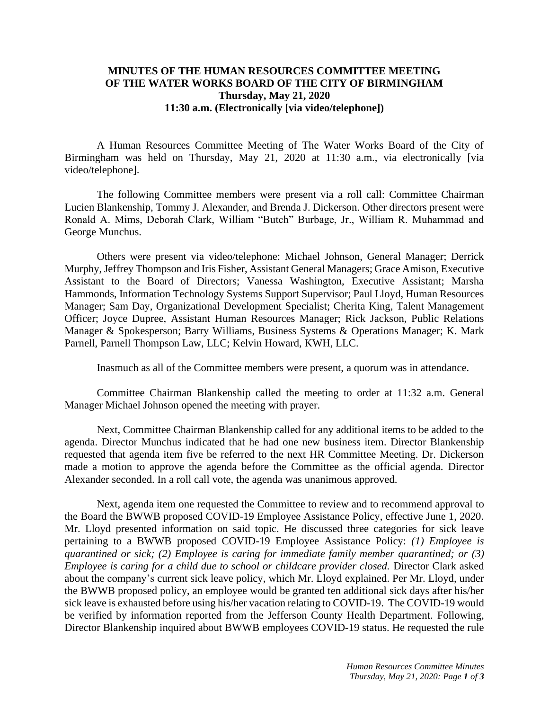## **MINUTES OF THE HUMAN RESOURCES COMMITTEE MEETING OF THE WATER WORKS BOARD OF THE CITY OF BIRMINGHAM Thursday, May 21, 2020 11:30 a.m. (Electronically [via video/telephone])**

A Human Resources Committee Meeting of The Water Works Board of the City of Birmingham was held on Thursday, May 21, 2020 at 11:30 a.m., via electronically [via video/telephone].

The following Committee members were present via a roll call: Committee Chairman Lucien Blankenship, Tommy J. Alexander, and Brenda J. Dickerson. Other directors present were Ronald A. Mims, Deborah Clark, William "Butch" Burbage, Jr., William R. Muhammad and George Munchus.

Others were present via video/telephone: Michael Johnson, General Manager; Derrick Murphy, Jeffrey Thompson and Iris Fisher, Assistant General Managers; Grace Amison, Executive Assistant to the Board of Directors; Vanessa Washington, Executive Assistant; Marsha Hammonds, Information Technology Systems Support Supervisor; Paul Lloyd, Human Resources Manager; Sam Day, Organizational Development Specialist; Cherita King, Talent Management Officer; Joyce Dupree, Assistant Human Resources Manager; Rick Jackson, Public Relations Manager & Spokesperson; Barry Williams, Business Systems & Operations Manager; K. Mark Parnell, Parnell Thompson Law, LLC; Kelvin Howard, KWH, LLC.

Inasmuch as all of the Committee members were present, a quorum was in attendance.

Committee Chairman Blankenship called the meeting to order at 11:32 a.m. General Manager Michael Johnson opened the meeting with prayer.

Next, Committee Chairman Blankenship called for any additional items to be added to the agenda. Director Munchus indicated that he had one new business item. Director Blankenship requested that agenda item five be referred to the next HR Committee Meeting. Dr. Dickerson made a motion to approve the agenda before the Committee as the official agenda. Director Alexander seconded. In a roll call vote, the agenda was unanimous approved.

Next, agenda item one requested the Committee to review and to recommend approval to the Board the BWWB proposed COVID-19 Employee Assistance Policy, effective June 1, 2020. Mr. Lloyd presented information on said topic. He discussed three categories for sick leave pertaining to a BWWB proposed COVID-19 Employee Assistance Policy: *(1) Employee is quarantined or sick; (2) Employee is caring for immediate family member quarantined; or (3) Employee is caring for a child due to school or childcare provider closed.* Director Clark asked about the company's current sick leave policy, which Mr. Lloyd explained. Per Mr. Lloyd, under the BWWB proposed policy, an employee would be granted ten additional sick days after his/her sick leave is exhausted before using his/her vacation relating to COVID-19. The COVID-19 would be verified by information reported from the Jefferson County Health Department. Following, Director Blankenship inquired about BWWB employees COVID-19 status. He requested the rule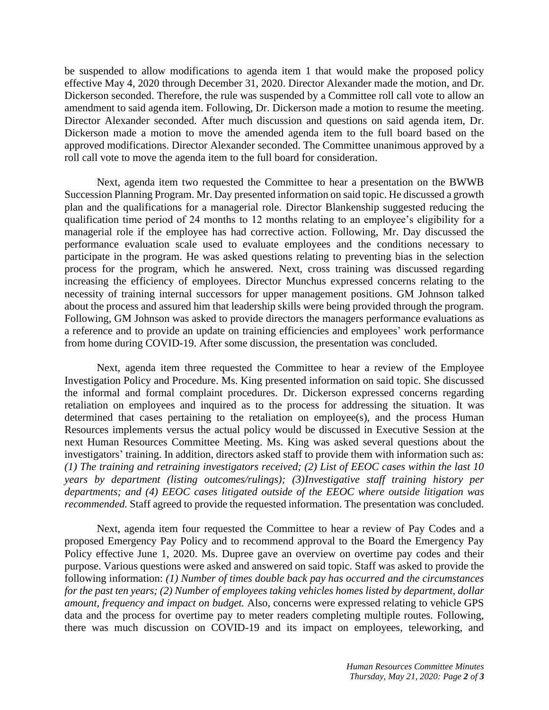be suspended to allow modifications to agenda item 1 that would make the proposed policy effective May 4, 2020 through December 31, 2020. Director Alexander made the motion, and Dr. Dickerson seconded. Therefore, the rule was suspended by a Committee roll call vote to allow an amendment to said agenda item. Following, Dr. Dickerson made a motion to resume the meeting. Director Alexander seconded. After much discussion and questions on said agenda item, Dr. Dickerson made a motion to move the amended agenda item to the full board based on the approved modifications. Director Alexander seconded. The Committee unanimous approved by a roll call vote to move the agenda item to the full board for consideration.

Next, agenda item two requested the Committee to hear a presentation on the BWWB Succession Planning Program. Mr. Day presented information on said topic. He discussed a growth plan and the qualifications for a managerial role. Director Blankenship suggested reducing the qualification time period of 24 months to 12 months relating to an employee's eligibility for a managerial role if the employee has had corrective action. Following, Mr. Day discussed the performance evaluation scale used to evaluate employees and the conditions necessary to participate in the program. He was asked questions relating to preventing bias in the selection process for the program, which he answered. Next, cross training was discussed regarding increasing the efficiency of employees. Director Munchus expressed concerns relating to the necessity of training internal successors for upper management positions. GM Johnson talked about the process and assured him that leadership skills were being provided through the program. Following, GM Johnson was asked to provide directors the managers performance evaluations as a reference and to provide an update on training efficiencies and employees' work performance from home during COVID-19. After some discussion, the presentation was concluded.

Next, agenda item three requested the Committee to hear a review of the Employee Investigation Policy and Procedure. Ms. King presented information on said topic. She discussed the informal and formal complaint procedures. Dr. Dickerson expressed concerns regarding retaliation on employees and inquired as to the process for addressing the situation. It was determined that cases pertaining to the retaliation on employee(s), and the process Human Resources implements versus the actual policy would be discussed in Executive Session at the next Human Resources Committee Meeting. Ms. King was asked several questions about the investigators' training. In addition, directors asked staff to provide them with information such as: *(1) The training and retraining investigators received; (2) List of EEOC cases within the last 10 years by department (listing outcomes/rulings); (3)Investigative staff training history per departments; and (4) EEOC cases litigated outside of the EEOC where outside litigation was recommended.* Staff agreed to provide the requested information. The presentation was concluded.

Next, agenda item four requested the Committee to hear a review of Pay Codes and a proposed Emergency Pay Policy and to recommend approval to the Board the Emergency Pay Policy effective June 1, 2020. Ms. Dupree gave an overview on overtime pay codes and their purpose. Various questions were asked and answered on said topic. Staff was asked to provide the following information: *(1) Number of times double back pay has occurred and the circumstances for the past ten years; (2) Number of employees taking vehicles homes listed by department, dollar amount, frequency and impact on budget.* Also, concerns were expressed relating to vehicle GPS data and the process for overtime pay to meter readers completing multiple routes. Following, there was much discussion on COVID-19 and its impact on employees, teleworking, and